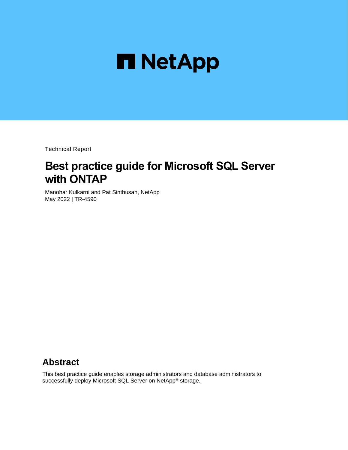

Technical Report

# **Best practice guide for Microsoft SQL Server with ONTAP**

Manohar Kulkarni and Pat Sinthusan, NetApp May 2022 | TR-4590

## **Abstract**

This best practice guide enables storage administrators and database administrators to successfully deploy Microsoft SQL Server on NetApp® storage.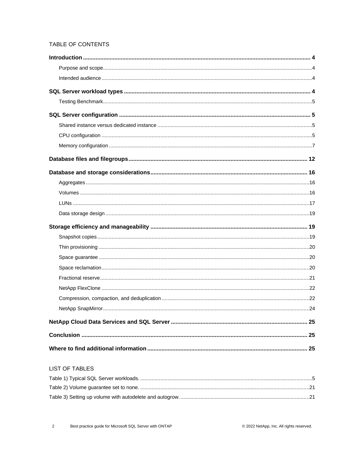### TABLE OF CONTENTS

| 24 |
|----|
|    |
|    |
|    |

#### **LIST OF TABLES**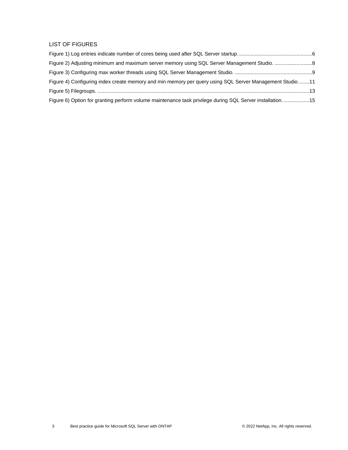#### LIST OF FIGURES

| Figure 4) Configuring index create memory and min memory per query using SQL Server Management Studio11  |  |
|----------------------------------------------------------------------------------------------------------|--|
|                                                                                                          |  |
| Figure 6) Option for granting perform volume maintenance task privilege during SQL Server installation15 |  |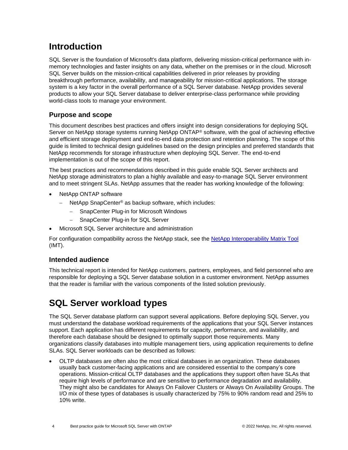## <span id="page-3-0"></span>**Introduction**

SQL Server is the foundation of Microsoft's data platform, delivering mission-critical performance with inmemory technologies and faster insights on any data, whether on the premises or in the cloud. Microsoft SQL Server builds on the mission-critical capabilities delivered in prior releases by providing breakthrough performance, availability, and manageability for mission-critical applications. The storage system is a key factor in the overall performance of a SQL Server database. NetApp provides several products to allow your SQL Server database to deliver enterprise-class performance while providing world-class tools to manage your environment.

## <span id="page-3-1"></span>**Purpose and scope**

This document describes best practices and offers insight into design considerations for deploying SQL Server on NetApp storage systems running NetApp ONTAP® software, with the goal of achieving effective and efficient storage deployment and end-to-end data protection and retention planning. The scope of this guide is limited to technical design guidelines based on the design principles and preferred standards that NetApp recommends for storage infrastructure when deploying SQL Server. The end-to-end implementation is out of the scope of this report.

The best practices and recommendations described in this guide enable SQL Server architects and NetApp storage administrators to plan a highly available and easy-to-manage SQL Server environment and to meet stringent SLAs. NetApp assumes that the reader has working knowledge of the following:

- NetApp ONTAP software
	- − NetApp SnapCenter® as backup software, which includes:
		- − SnapCenter Plug-in for Microsoft Windows
		- − SnapCenter Plug-in for SQL Server
- Microsoft SQL Server architecture and administration

For configuration compatibility across the NetApp stack, see the [NetApp Interoperability Matrix Tool](http://mysupport.netapp.com/NOW/products/interoperability/) (IMT).

## <span id="page-3-2"></span>**Intended audience**

This technical report is intended for NetApp customers, partners, employees, and field personnel who are responsible for deploying a SQL Server database solution in a customer environment. NetApp assumes that the reader is familiar with the various components of the listed solution previously.

## <span id="page-3-3"></span>**SQL Server workload types**

The SQL Server database platform can support several applications. Before deploying SQL Server, you must understand the database workload requirements of the applications that your SQL Server instances support. Each application has different requirements for capacity, performance, and availability, and therefore each database should be designed to optimally support those requirements. Many organizations classify databases into multiple management tiers, using application requirements to define SLAs. SQL Server workloads can be described as follows:

• OLTP databases are often also the most critical databases in an organization. These databases usually back customer-facing applications and are considered essential to the company's core operations. Mission-critical OLTP databases and the applications they support often have SLAs that require high levels of performance and are sensitive to performance degradation and availability. They might also be candidates for Always On Failover Clusters or Always On Availability Groups. The I/O mix of these types of databases is usually characterized by 75% to 90% random read and 25% to 10% write.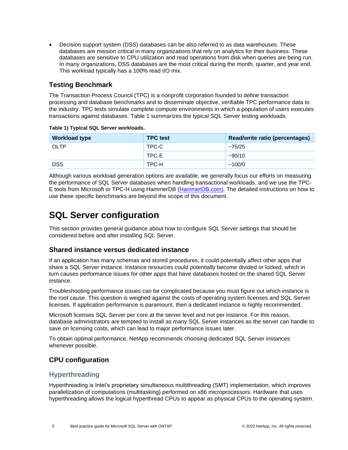• Decision support system (DSS) databases can be also referred to as data warehouses. These databases are mission critical in many organizations that rely on analytics for their business. These databases are sensitive to CPU utilization and read operations from disk when queries are being run. In many organizations, DSS databases are the most critical during the month, quarter, and year end. This workload typically has a 100% read I/O mix.

### <span id="page-4-0"></span>**Testing Benchmark**

The Transaction Process Council (TPC) is a nonprofit corporation founded to define transaction processing and database benchmarks and to disseminate objective, verifiable TPC performance data to the industry. TPC tests simulate complete compute environments in which a population of users executes transactions against databases. Table 1 summarizes the typical SQL Server testing workloads.

| <b>Workload type</b> | <b>TPC</b> test | Read/write ratio (percentages) |
|----------------------|-----------------|--------------------------------|
| OLTP                 | TPC-C           | ~1.75/25                       |
|                      | TPC-E           | $-90/10$                       |
| <b>DSS</b>           | TPC-H           | ~100/0                         |

<span id="page-4-4"></span>**Table 1) Typical SQL Server workloads.**

Although various workload generation options are available, we generally focus our efforts on measuring the performance of SQL Server databases when handling transactional workloads, and we use the TPC-E tools from Microsoft or TPC-H using HammerDB [\(HammerDB.com\)](http://www.hammerdb.com/document.html). The detailed instructions on how to use these specific benchmarks are beyond the scope of this document.

## <span id="page-4-1"></span>**SQL Server configuration**

This section provides general guidance about how to configure SQL Server settings that should be considered before and after installing SQL Server.

#### <span id="page-4-2"></span>**Shared instance versus dedicated instance**

If an application has many schemas and stored procedures, it could potentially affect other apps that share a SQL Server instance. Instance resources could potentially become divided or locked, which in turn causes performance issues for other apps that have databases hosted on the shared SQL Server instance.

Troubleshooting performance issues can be complicated because you must figure out which instance is the root cause. This question is weighed against the costs of operating system licenses and SQL Server licenses. If application performance is paramount, then a dedicated instance is highly recommended.

Microsoft licenses SQL Server per core at the server level and not per instance. For this reason, database administrators are tempted to install as many SQL Server instances as the server can handle to save on licensing costs, which can lead to major performance issues later.

To obtain optimal performance, NetApp recommends choosing dedicated SQL Server instances whenever possible.

## <span id="page-4-3"></span>**CPU configuration**

#### **Hyperthreading**

Hyperthreading is Intel's proprietary simultaneous multithreading (SMT) implementation, which improves parallelization of computations (multitasking) performed on x86 microprocessors. Hardware that uses hyperthreading allows the logical hyperthread CPUs to appear as physical CPUs to the operating system.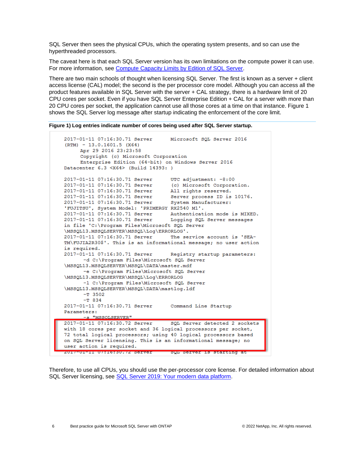SQL Server then sees the physical CPUs, which the operating system presents, and so can use the hyperthreaded processors.

The caveat here is that each SQL Server version has its own limitations on the compute power it can use. For more information, see [Compute Capacity Limits by Edition of SQL Server.](https://msdn.microsoft.com/en-us/library/ms143760.aspx)

There are two main schools of thought when licensing SQL Server. The first is known as a server + client access license (CAL) model; the second is the per processor core model. Although you can access all the product features available in SQL Server with the server + CAL strategy, there is a hardware limit of 20 CPU cores per socket. Even if you have SQL Server Enterprise Edition + CAL for a server with more than 20 CPU cores per socket, the application cannot use all those cores at a time on that instance. Figure 1 shows the SQL Server log message after startup indicating the enforcement of the core limit.

<span id="page-5-0"></span>**Figure 1) Log entries indicate number of cores being used after SQL Server startup.**

```
2017-01-11 07:16:30.71 Server
                                      Microsoft SQL Server 2016
(RTM) - 13.0.1601.5 (X64)Apr 29 2016 23:23:58
      Copyright (c) Microsoft Corporation
      Enterprise Edition (64-bit) on Windows Server 2016
Datacenter 6.3 <X64> (Build 14393: )
2017-01-11 07:16:30.71 Server<br>
2017-01-11 07:16:30.71 Server (c) Microsoft Corporation.<br>
2017-01-11 07:16:30.71 Server all rights reserved.<br>
2017-01-11 07:16:30.71 Server Server process ID is 10176.<br>
2017-01-11 07:16:30.71
'FUJITSU', System Model: 'PRIMERGY RX2540 M1'.
2017-01-11 07:16:30.71 Server Authentication mode is MIXED.<br>2017-01-11 07:16:30.71 Server Logging SQL Server messages
in file 'C:\Program Files\Microsoft SQL Server
\MSSQL13.MSSQLSERVER\MSSQL\Loq\ERRORLOG'.
2017-01-11 07:16:30.71 Server The service account is 'SEA-
TM\FUJIA2R30$'. This is an informational message; no user action
is required.
2017-01-11 07:16:30.71 Server Registry startup parameters:
       -d C:\Program Files\Microsoft SQL Server
\MSSQL13.MSSQLSERVER\MSSQL\DATA\master.mdf
       -e C:\Program Files\Microsoft SQL Server
\MSSQL13.MSSQLSERVER\MSSQL\Log\ERRORLOG
       -1 C:\Program Files\Microsoft SQL Server
\MSSQL13.MSSQLSERVER\MSSQL\DATA\mastlog.ldf
       -T 3502-\mathbb{T} 8342017-01-11 07:16:30.71 Server
                                      Command Line Startup
Parameters:
       -s "MSSOLSERVER"
2017-01-11 07:16:30.72 Server
                                      SQL Server detected 2 sockets
with 18 cores per socket and 36 logical processors per socket,
72 total logical processors; using 40 logical processors based
on SQL Server licensing. This is an informational message; no
user action is required.
zur/-ui-ii u/:16:30.72 Server - Syn Server is starting at
```
Therefore, to use all CPUs, you should use the per-processor core license. For detailed information about SQL Server licensing, see SQL Server [2019: Your modern data platform.](https://www.microsoft.com/en-us/sql-server/sql-server-2019-comparison)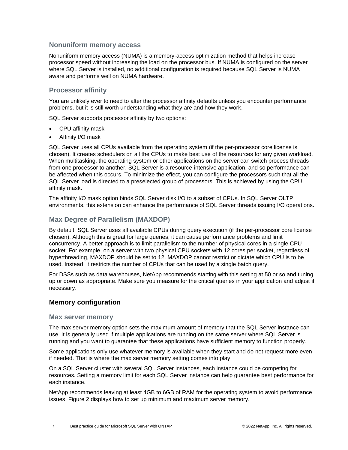#### **Nonuniform memory access**

Nonuniform memory access (NUMA) is a memory-access optimization method that helps increase processor speed without increasing the load on the processor bus. If NUMA is configured on the server where SQL Server is installed, no additional configuration is required because SQL Server is NUMA aware and performs well on NUMA hardware.

### **Processor affinity**

You are unlikely ever to need to alter the processor affinity defaults unless you encounter performance problems, but it is still worth understanding what they are and how they work.

SQL Server supports processor affinity by two options:

- CPU affinity mask
- Affinity I/O mask

SQL Server uses all CPUs available from the operating system (if the per-processor core license is chosen). It creates schedulers on all the CPUs to make best use of the resources for any given workload. When multitasking, the operating system or other applications on the server can switch process threads from one processor to another. SQL Server is a resource-intensive application, and so performance can be affected when this occurs. To minimize the effect, you can configure the processors such that all the SQL Server load is directed to a preselected group of processors. This is achieved by using the CPU affinity mask.

The affinity I/O mask option binds SQL Server disk I/O to a subset of CPUs. In SQL Server OLTP environments, this extension can enhance the performance of SQL Server threads issuing I/O operations.

### **Max Degree of Parallelism (MAXDOP)**

By default, SQL Server uses all available CPUs during query execution (if the per-processor core license chosen). Although this is great for large queries, it can cause performance problems and limit concurrency. A better approach is to limit parallelism to the number of physical cores in a single CPU socket. For example, on a server with two physical CPU sockets with 12 cores per socket, regardless of hyperthreading, MAXDOP should be set to 12. MAXDOP cannot restrict or dictate which CPU is to be used. Instead, it restricts the number of CPUs that can be used by a single batch query.

For DSSs such as data warehouses, NetApp recommends starting with this setting at 50 or so and tuning up or down as appropriate. Make sure you measure for the critical queries in your application and adjust if necessary.

#### <span id="page-6-0"></span>**Memory configuration**

#### **Max server memory**

The max server memory option sets the maximum amount of memory that the SQL Server instance can use. It is generally used if multiple applications are running on the same server where SQL Server is running and you want to guarantee that these applications have sufficient memory to function properly.

Some applications only use whatever memory is available when they start and do not request more even if needed. That is where the max server memory setting comes into play.

On a SQL Server cluster with several SQL Server instances, each instance could be competing for resources. Setting a memory limit for each SQL Server instance can help guarantee best performance for each instance.

NetApp recommends leaving at least 4GB to 6GB of RAM for the operating system to avoid performance issues. [Figure 2](#page-7-0) displays how to set up minimum and maximum server memory.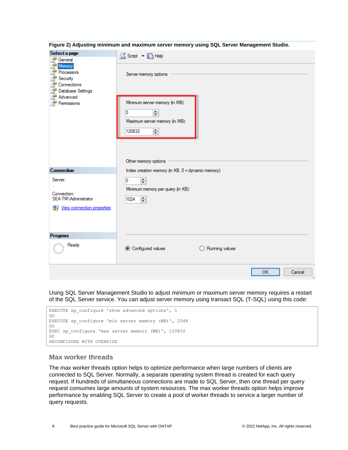| Select a page<br>聲<br>General                                                                                                       | S Script v B Help                                                                                                                               |
|-------------------------------------------------------------------------------------------------------------------------------------|-------------------------------------------------------------------------------------------------------------------------------------------------|
| P<br>Memory<br>P<br>Processors<br>P<br>Security<br>A<br>Connections<br>£<br>Database Settings<br>A<br>Advanced<br>ð.<br>Permissions | Server memory options<br>Minimum server memory (in MB):<br>쵞<br>0<br>Maximum server memory (in MB):<br>$\div$<br>120832<br>Other memory options |
| <b>Connection</b>                                                                                                                   | Index creation memory (in KB, 0 = dynamic memory):                                                                                              |
| Server:<br>÷<br>Connection:<br>SEA-TM\Administrator<br><b>图 View connection properties</b>                                          | $\div$<br>0<br>Minimum memory per query (in KB):<br>$\equiv$<br>1024                                                                            |
| <b>Progress</b>                                                                                                                     |                                                                                                                                                 |
| Ready                                                                                                                               | ◯ Configured values<br>Running values<br>Ω                                                                                                      |
|                                                                                                                                     | <b>OK</b><br>Cancel                                                                                                                             |

<span id="page-7-0"></span>**Figure 2) Adjusting minimum and maximum server memory using SQL Server Management Studio.**

Using SQL Server Management Studio to adjust minimum or maximum server memory requires a restart of the SQL Server service. You can adjust server memory using transact SQL (T-SQL) using this code:



#### **Max worker threads**

The max worker threads option helps to optimize performance when large numbers of clients are connected to SQL Server. Normally, a separate operating system thread is created for each query request. If hundreds of simultaneous connections are made to SQL Server, then one thread per query request consumes large amounts of system resources. The max worker threads option helps improve performance by enabling SQL Server to create a pool of worker threads to service a larger number of query requests.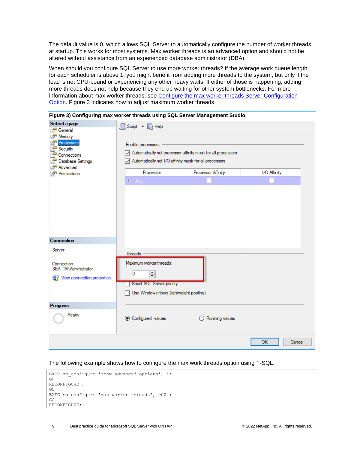The default value is 0, which allows SQL Server to automatically configure the number of worker threads at startup. This works for most systems. Max worker threads is an advanced option and should not be altered without assistance from an experienced database administrator (DBA).

When should you configure SQL Server to use more worker threads? If the average work queue length for each scheduler is above 1, you might benefit from adding more threads to the system, but only if the load is not CPU-bound or experiencing any other heavy waits. If either of those is happening, adding more threads does not help because they end up waiting for other system bottlenecks. For more information about max worker threads, see [Configure the max worker threads Server Configuration](https://msdn.microsoft.com/en-us/library/ms190219.aspx)  [Option.](https://msdn.microsoft.com/en-us/library/ms190219.aspx) [Figure 3](#page-8-0) indicates how to adjust maximum worker threads.

| Select a page<br>a.<br>General                                                                                   | SScript v B Help                                                                                                                         |                                                                                    |                       |
|------------------------------------------------------------------------------------------------------------------|------------------------------------------------------------------------------------------------------------------------------------------|------------------------------------------------------------------------------------|-----------------------|
| £.<br>Memory<br>A<br>Processors<br>Security<br>a.<br>Connections<br>Database Settings<br>Advanced<br>Permissions | Enable processors<br>Automatically set I/O affinity mask for all processors<br>Processor<br>E-ALL                                        | Automatically set processor affinity mask for all processors<br>Processor Affinity | I/O Affinity          |
| <b>Connection</b>                                                                                                |                                                                                                                                          |                                                                                    |                       |
| Server:<br>Connection:<br>SEA-TM\Administrator<br><b>图 View connection properties</b>                            | <b>Threads</b><br>Maximum worker threads:<br>$\div$<br>0<br><b>Boost SQL Server priority</b><br>Use Windows fibers (lightweight pooling) |                                                                                    |                       |
| <b>Progress</b>                                                                                                  |                                                                                                                                          |                                                                                    |                       |
| Ready                                                                                                            | ◉ Configured values                                                                                                                      | Running values                                                                     |                       |
|                                                                                                                  |                                                                                                                                          |                                                                                    | Cancel<br>OK<br>$-11$ |

<span id="page-8-0"></span>**Figure 3) Configuring max worker threads using SQL Server Management Studio.**

The following example shows how to configure the max work threads option using T-SQL.

```
EXEC sp configure 'show advanced options', 1;
GO 
RECONFIGURE ; 
GO 
EXEC sp configure 'max worker threads', 900 ;
GO 
RECONFIGURE;
```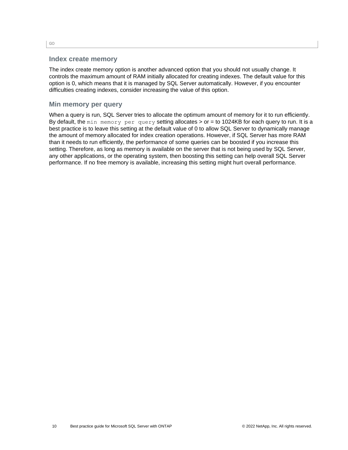#### **Index create memory**

The index create memory option is another advanced option that you should not usually change. It controls the maximum amount of RAM initially allocated for creating indexes. The default value for this option is 0, which means that it is managed by SQL Server automatically. However, if you encounter difficulties creating indexes, consider increasing the value of this option.

#### **Min memory per query**

When a query is run, SQL Server tries to allocate the optimum amount of memory for it to run efficiently. By default, the min memory per query setting allocates > or = to 1024KB for each query to run. It is a best practice is to leave this setting at the default value of 0 to allow SQL Server to dynamically manage the amount of memory allocated for index creation operations. However, if SQL Server has more RAM than it needs to run efficiently, the performance of some queries can be boosted if you increase this setting. Therefore, as long as memory is available on the server that is not being used by SQL Server, any other applications, or the operating system, then boosting this setting can help overall SQL Server performance. If no free memory is available, increasing this setting might hurt overall performance.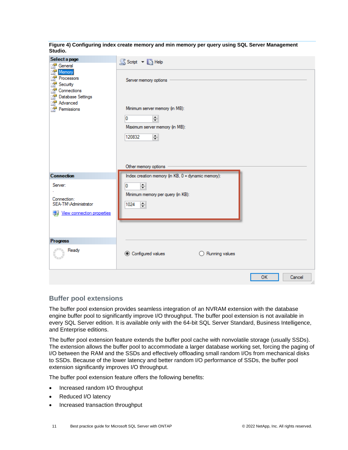<span id="page-10-0"></span>**Figure 4) Configuring index create memory and min memory per query using SQL Server Management Studio.**

| Select a page<br>General                                                                                   | S Script v B Help                                                                                                                                          |
|------------------------------------------------------------------------------------------------------------|------------------------------------------------------------------------------------------------------------------------------------------------------------|
| A<br>Memory<br>Processors<br>Security<br>Connections<br>Database Settings<br>Advanced<br>Permissions       | Server memory options<br>Minimum server memory (in MB):<br>0<br>$\div$<br>Maximum server memory (in MB):<br>$\Rightarrow$<br>120832                        |
| <b>Connection</b><br>Server:<br>Connection:<br>SEA-TM\Administrator<br><b>图 View connection properties</b> | Other memory options<br>Index creation memory (in KB, 0 = dynamic memory):<br>늭<br>0<br>Minimum memory per query (in KB):<br>1024<br>$\left  \div \right $ |
| <b>Progress</b>                                                                                            |                                                                                                                                                            |
| Ready                                                                                                      | <b>◎</b> Configured values<br>$\bigcirc$ Running values                                                                                                    |
|                                                                                                            | <b>OK</b><br>Cancel                                                                                                                                        |

#### **Buffer pool extensions**

The buffer pool extension provides seamless integration of an NVRAM extension with the database engine buffer pool to significantly improve I/O throughput. The buffer pool extension is not available in every SQL Server edition. It is available only with the 64-bit SQL Server Standard, Business Intelligence, and Enterprise editions.

The buffer pool extension feature extends the buffer pool cache with nonvolatile storage (usually SSDs). The extension allows the buffer pool to accommodate a larger database working set, forcing the paging of I/O between the RAM and the SSDs and effectively offloading small random I/Os from mechanical disks to SSDs. Because of the lower latency and better random I/O performance of SSDs, the buffer pool extension significantly improves I/O throughput.

The buffer pool extension feature offers the following benefits:

- Increased random I/O throughput
- Reduced I/O latency
- Increased transaction throughput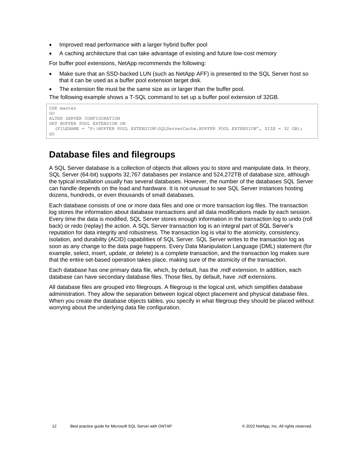- Improved read performance with a larger hybrid buffer pool
- A caching architecture that can take advantage of existing and future low-cost memory

For buffer pool extensions, NetApp recommends the following:

- Make sure that an SSD-backed LUN (such as NetApp AFF) is presented to the SQL Server host so that it can be used as a buffer pool extension target disk.
- The extension file must be the same size as or larger than the buffer pool.

The following example shows a T-SQL command to set up a buffer pool extension of 32GB.

```
USE master
GO
ALTER SERVER CONFIGURATION
SET BUFFER POOL EXTENSION ON
   (FILENAME = 'P:\BUFFER POOL EXTENSION\SQLServerCache.BUFFER POOL EXTENSION', SIZE = 32 GB);
GO
```
## <span id="page-11-0"></span>**Database files and filegroups**

A SQL Server database is a collection of objects that allows you to store and manipulate data. In theory, SQL Server (64-bit) supports 32,767 databases per instance and 524,272TB of database size, although the typical installation usually has several databases. However, the number of the databases SQL Server can handle depends on the load and hardware. It is not unusual to see SQL Server instances hosting dozens, hundreds, or even thousands of small databases.

Each database consists of one or more data files and one or more transaction log files. The transaction log stores the information about database transactions and all data modifications made by each session. Every time the data is modified, SQL Server stores enough information in the transaction log to undo (roll back) or redo (replay) the action. A SQL Server transaction log is an integral part of SQL Server's reputation for data integrity and robustness. The transaction log is vital to the atomicity, consistency, isolation, and durability (ACID) capabilities of SQL Server. SQL Server writes to the transaction log as soon as any change to the data page happens. Every Data Manipulation Language (DML) statement (for example, select, insert, update, or delete) is a complete transaction, and the transaction log makes sure that the entire set-based operation takes place, making sure of the atomicity of the transaction.

Each database has one primary data file, which, by default, has the .mdf extension. In addition, each database can have secondary database files. Those files, by default, have .ndf extensions.

All database files are grouped into filegroups. A filegroup is the logical unit, which simplifies database administration. They allow the separation between logical object placement and physical database files. When you create the database objects tables, you specify in what filegroup they should be placed without worrying about the underlying data file configuration.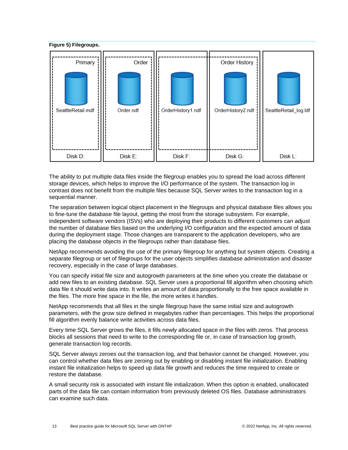<span id="page-12-0"></span>

The ability to put multiple data files inside the filegroup enables you to spread the load across different storage devices, which helps to improve the I/O performance of the system. The transaction log in contrast does not benefit from the multiple files because SQL Server writes to the transaction log in a sequential manner.

The separation between logical object placement in the filegroups and physical database files allows you to fine-tune the database file layout, getting the most from the storage subsystem. For example, independent software vendors (ISVs) who are deploying their products to different customers can adjust the number of database files based on the underlying I/O configuration and the expected amount of data during the deployment stage. Those changes are transparent to the application developers, who are placing the database objects in the filegroups rather than database files.

NetApp recommends avoiding the use of the primary filegroup for anything but system objects. Creating a separate filegroup or set of filegroups for the user objects simplifies database administration and disaster recovery, especially in the case of large databases.

You can specify initial file size and autogrowth parameters at the time when you create the database or add new files to an existing database. SQL Server uses a proportional fill algorithm when choosing which data file it should write data into. It writes an amount of data proportionally to the free space available in the files. The more free space in the file, the more writes it handles.

NetApp recommends that all files in the single filegroup have the same initial size and autogrowth parameters, with the grow size defined in megabytes rather than percentages. This helps the proportional fill algorithm evenly balance write activities across data files.

Every time SQL Server grows the files, it fills newly allocated space in the files with zeros. That process blocks all sessions that need to write to the corresponding file or, in case of transaction log growth, generate transaction log records.

SQL Server always zeroes out the transaction log, and that behavior cannot be changed. However, you can control whether data files are zeroing out by enabling or disabling instant file initialization. Enabling instant file initialization helps to speed up data file growth and reduces the time required to create or restore the database.

A small security risk is associated with instant file initialization. When this option is enabled, unallocated parts of the data file can contain information from previously deleted OS files. Database administrators can examine such data.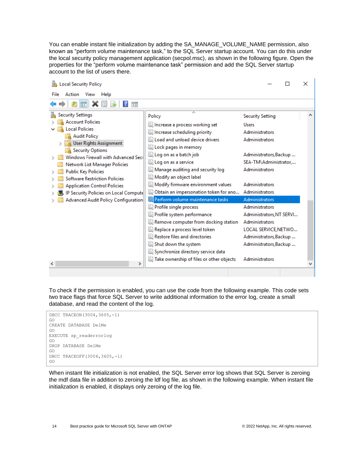You can enable instant file initialization by adding the SA\_MANAGE\_VOLUME\_NAME permission, also known as "perform volume maintenance task," to the SQL Server startup account. You can do this under the local security policy management application (secpol.msc), as shown in the following figure. Open the properties for the "perform volume maintenance task" permission and add the SQL Server startup account to the list of users there.

| Local Security Policy                                                                                                                                                                                                                                                                                                                                                                                                         |                                                                                                                                                                                                                                                                                                                                                                                                                                                                                                                                                                                                                |                                                                                                                                                                                                                                                                                                                                                                               | x                     |
|-------------------------------------------------------------------------------------------------------------------------------------------------------------------------------------------------------------------------------------------------------------------------------------------------------------------------------------------------------------------------------------------------------------------------------|----------------------------------------------------------------------------------------------------------------------------------------------------------------------------------------------------------------------------------------------------------------------------------------------------------------------------------------------------------------------------------------------------------------------------------------------------------------------------------------------------------------------------------------------------------------------------------------------------------------|-------------------------------------------------------------------------------------------------------------------------------------------------------------------------------------------------------------------------------------------------------------------------------------------------------------------------------------------------------------------------------|-----------------------|
| Action View<br>File<br>Help                                                                                                                                                                                                                                                                                                                                                                                                   |                                                                                                                                                                                                                                                                                                                                                                                                                                                                                                                                                                                                                |                                                                                                                                                                                                                                                                                                                                                                               |                       |
| 菲                                                                                                                                                                                                                                                                                                                                                                                                                             |                                                                                                                                                                                                                                                                                                                                                                                                                                                                                                                                                                                                                |                                                                                                                                                                                                                                                                                                                                                                               |                       |
| <b>Security Settings</b><br><b>Account Policies</b><br><b>Local Policies</b><br><b>Audit Policy</b><br>User Rights Assignment<br><b>Security Options</b><br>Windows Firewall with Advanced Seci<br>Network List Manager Policies<br><b>Public Key Policies</b><br><b>Software Restriction Policies</b><br><b>Application Control Policies</b><br>IP Security Policies on Local Compute<br>Advanced Audit Policy Configuration | ́<br>Policy<br>Increase a process working set<br>Increase scheduling priority<br>la Load and unload device drivers<br>Lock pages in memory<br>Log on as a batch job<br>la Log on as a service<br>Manage auditing and security log<br>Modify an object label<br>Modify firmware environment values<br>Obtain an impersonation token for ano<br>Perform volume maintenance tasks<br>Profile single process<br>Profile system performance<br>Remove computer from docking station<br>Replace a process level token<br>Restore files and directories<br>Shut down the system<br>Synchronize directory service data | <b>Security Setting</b><br><b>Users</b><br>Administrators<br><b>Administrators</b><br>Administrators, Backup<br>SEA-TM\Administrator<br>Administrators<br><b>Administrators</b><br>Administrators<br>Administrators<br><b>Administrators</b><br>Administrators, NT SERVI<br><b>Administrators</b><br>LOCAL SERVICE, NETWO<br>Administrators, Backup<br>Administrators, Backup | $\boldsymbol{\wedge}$ |
| $\rightarrow$<br>∢                                                                                                                                                                                                                                                                                                                                                                                                            | Take ownership of files or other objects                                                                                                                                                                                                                                                                                                                                                                                                                                                                                                                                                                       | Administrators                                                                                                                                                                                                                                                                                                                                                                |                       |
|                                                                                                                                                                                                                                                                                                                                                                                                                               |                                                                                                                                                                                                                                                                                                                                                                                                                                                                                                                                                                                                                |                                                                                                                                                                                                                                                                                                                                                                               |                       |

To check if the permission is enabled, you can use the code from the following example. This code sets two trace flags that force SQL Server to write additional information to the error log, create a small database, and read the content of the log.



When instant file initialization is not enabled, the SQL Server error log shows that SQL Server is zeroing the mdf data file in addition to zeroing the ldf log file, as shown in the following example. When instant file initialization is enabled, it displays only zeroing of the log file.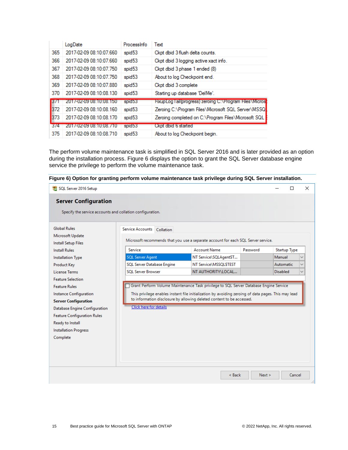|            | LogDate                 | Processinfo        | Text                                                     |
|------------|-------------------------|--------------------|----------------------------------------------------------|
| 365        | 2017-02-09 08:10:07.660 | spid <sub>53</sub> | Ckpt dbid 3 flush delta counts.                          |
| 366        | 2017-02-09 08:10:07.660 | spid <sub>53</sub> | Ckpt dbid 3 logging active xact info.                    |
| 367        | 2017-02-09 08:10:07 750 | spid <sub>53</sub> | Ckpt dbid 3 phase 1 ended (8)                            |
| 368        | 2017-02-09 08:10:07 750 | spid <sub>53</sub> | About to log Checkpoint end.                             |
| 369        | 2017-02-09 08:10:07 880 | spid <sub>53</sub> | Ckpt dbid 3 complete                                     |
| 370        | 2017-02-09 08:10:08.130 | spid <sub>53</sub> | Starting up database 'DelMe'.                            |
| <b>B71</b> | 2017-02-09 08:10:08:150 | spid53             | FixupLog Tail(progress) zeroing C:\Program Files\Microst |
| 372        | 2017-02-09 08:10:08.160 | spid <sub>53</sub> | Zeroing C:\Program Files\Microsoft SQL Server\MSSQ       |
| 373        | 2017-02-09 08:10:08.170 | spid <sub>53</sub> | Zeroing completed on C:\Program Files\Microsoft SQL      |
| 3/4        | 2017-02-09 08:10:08 710 | spid53             | Ckpt dbid 6 started                                      |
| 375        | 2017-02-09 08:10:08.710 | spid <sub>53</sub> | About to log Checkpoint begin.                           |

The perform volume maintenance task is simplified in SQL Server 2016 and is later provided as an option during the installation process. [Figure 6](#page-14-0) displays the option to grant the SQL Server database engine service the privilege to perform the volume maintenance task.



<span id="page-14-0"></span>**Figure 6) Option for granting perform volume maintenance task privilege during SQL Server installation.**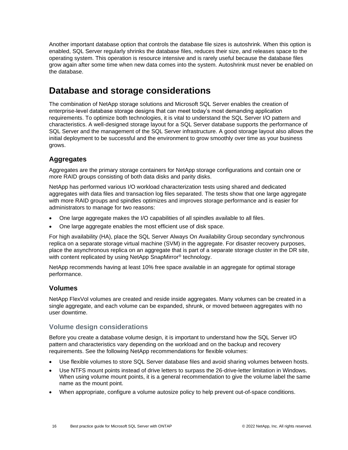Another important database option that controls the database file sizes is autoshrink. When this option is enabled, SQL Server regularly shrinks the database files, reduces their size, and releases space to the operating system. This operation is resource intensive and is rarely useful because the database files grow again after some time when new data comes into the system. Autoshrink must never be enabled on the database.

## <span id="page-15-0"></span>**Database and storage considerations**

The combination of NetApp storage solutions and Microsoft SQL Server enables the creation of enterprise-level database storage designs that can meet today's most demanding application requirements. To optimize both technologies, it is vital to understand the SQL Server I/O pattern and characteristics. A well-designed storage layout for a SQL Server database supports the performance of SQL Server and the management of the SQL Server infrastructure. A good storage layout also allows the initial deployment to be successful and the environment to grow smoothly over time as your business grows.

## <span id="page-15-1"></span>**Aggregates**

Aggregates are the primary storage containers for NetApp storage configurations and contain one or more RAID groups consisting of both data disks and parity disks.

NetApp has performed various I/O workload characterization tests using shared and dedicated aggregates with data files and transaction log files separated. The tests show that one large aggregate with more RAID groups and spindles optimizes and improves storage performance and is easier for administrators to manage for two reasons:

- One large aggregate makes the I/O capabilities of all spindles available to all files.
- One large aggregate enables the most efficient use of disk space.

For high availability (HA), place the SQL Server Always On Availability Group secondary synchronous replica on a separate storage virtual machine (SVM) in the aggregate. For disaster recovery purposes, place the asynchronous replica on an aggregate that is part of a separate storage cluster in the DR site, with content replicated by using NetApp SnapMirror<sup>®</sup> technology.

NetApp recommends having at least 10% free space available in an aggregate for optimal storage performance.

#### <span id="page-15-2"></span>**Volumes**

NetApp FlexVol volumes are created and reside inside aggregates. Many volumes can be created in a single aggregate, and each volume can be expanded, shrunk, or moved between aggregates with no user downtime.

#### **Volume design considerations**

Before you create a database volume design, it is important to understand how the SQL Server I/O pattern and characteristics vary depending on the workload and on the backup and recovery requirements. See the following NetApp recommendations for flexible volumes:

- Use flexible volumes to store SQL Server database files and avoid sharing volumes between hosts.
- Use NTFS mount points instead of drive letters to surpass the 26-drive-letter limitation in Windows. When using volume mount points, it is a general recommendation to give the volume label the same name as the mount point.
- When appropriate, configure a volume autosize policy to help prevent out-of-space conditions.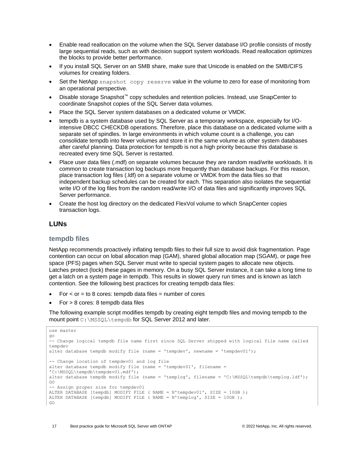- Enable read reallocation on the volume when the SQL Server database I/O profile consists of mostly large sequential reads, such as with decision support system workloads. Read reallocation optimizes the blocks to provide better performance.
- If you install SQL Server on an SMB share, make sure that Unicode is enabled on the SMB/CIFS volumes for creating folders.
- Set the NetApp snapshot copy reserve value in the volume to zero for ease of monitoring from an operational perspective.
- Disable storage Snapshot™ copy schedules and retention policies. Instead, use SnapCenter to coordinate Snapshot copies of the SQL Server data volumes.
- Place the SQL Server system databases on a dedicated volume or VMDK.
- tempdb is a system database used by SQL Server as a temporary workspace, especially for I/Ointensive DBCC CHECKDB operations. Therefore, place this database on a dedicated volume with a separate set of spindles. In large environments in which volume count is a challenge, you can consolidate tempdb into fewer volumes and store it in the same volume as other system databases after careful planning. Data protection for tempdb is not a high priority because this database is recreated every time SQL Server is restarted.
- Place user data files (.mdf) on separate volumes because they are random read/write workloads. It is common to create transaction log backups more frequently than database backups. For this reason, place transaction log files (.ldf) on a separate volume or VMDK from the data files so that independent backup schedules can be created for each. This separation also isolates the sequential write I/O of the log files from the random read/write I/O of data files and significantly improves SQL Server performance.
- Create the host log directory on the dedicated FlexVol volume to which SnapCenter copies transaction logs.

#### <span id="page-16-0"></span>**LUNs**

#### **tempdb files**

NetApp recommends proactively inflating tempdb files to their full size to avoid disk fragmentation. Page contention can occur on lobal allocation map (GAM), shared global allocation map (SGAM), or page free space (PFS) pages when SQL Server must write to special system pages to allocate new objects. Latches protect (lock) these pages in memory. On a busy SQL Server instance, it can take a long time to get a latch on a system page in tempdb. This results in slower query run times and is known as latch contention. See the following best practices for creating tempdb data files:

- $For < or = to 8 cores: tempdb data files = number of cores$
- For > 8 cores: 8 tempdb data files

The following example script modifies tempdb by creating eight tempdb files and moving tempdb to the mount point C: \MSSOL\tempdb for SQL Server 2012 and later.

```
use master
go
-- Change logical tempdb file name first since SOL Server shipped with logical file name called
tempdev
alter database tempdb modify file (name = 'tempdev', newname = 'tempdev01');
-- Change location of tempdev01 and log file
alter database tempdb modify file (name = 'tempdev01', filename = 
'C:\MSSQL\tempdb\tempdev01.mdf');
alter database tempdb modify file (name = 'templog', filename = 'C:\MSSQL\tempdb\templog.ldf');
GO
-- Assign proper size for tempdev01
ALTER DATABASE [tempdb] MODIFY FILE ( NAME = N'tempdev01', SIZE = 10GB );
ALTER DATABASE [tempdb] MODIFY FILE ( NAME = N'templog', SIZE = 10GB );
GO
```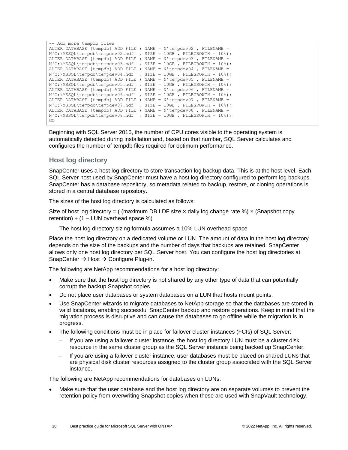```
-- Add more tempdb files
ALTER DATABASE [tempdb] ADD FILE ( NAME = N'tempdev02', FILENAME = 
N'C:\MSSQL\tempdb\tempdev02.ndf', SIZE = 10GB, FILEGROWTH = 10%);
ALTER DATABASE [tempdb] ADD FILE ( NAME = N'tempdev03', FILENAME = 
N'C:\MSSQL\tempdb\tempdev03.ndf', SIZE = 10GB, FILEGROWTH = 10%);
ALTER DATABASE [tempdb] ADD FILE ( NAME = N'tempdev04', FILENAME = 
N'C:\MSSQL\tempdb\tempdev04.ndf', SIZE = 10GB, FILEGROWTH = 10%);
ALTER DATABASE [tempdb] ADD FILE ( NAME = N'tempdev05', FILENAME = 
N'C:\MSSQL\tempdb\tempdev05.ndf', SIZE = 10GB, FILEGROWTH = 10%);
ALTER DATABASE [tempdb] ADD FILE ( NAME = N'tempdev06', FILENAME = 
N'C:\MSSQL\tempdb\tempdev06.ndf' , SIZE = 10GB , FILEGROWTH = 10%);
ALTER DATABASE [tempdb] ADD FILE ( NAME = N'tempdev07', FILENAME =
N^{\circ}:\MSSQL\tempdb\tempdev07.ndf', SIZE = 10GB, FILEGROWTH = 10%);
ALTER DATABASE [tempdb] ADD FILE ( NAME = N'tempdev08', FILENAME = 
N'C:\MSSQL\tempdb\tempdev08.ndf' , SIZE = 10GB , FILEGROWTH = 10%);
GO
```
Beginning with SQL Server 2016, the number of CPU cores visible to the operating system is automatically detected during installation and, based on that number, SQL Server calculates and configures the number of tempdb files required for optimum performance.

#### **Host log directory**

SnapCenter uses a host log directory to store transaction log backup data. This is at the host level. Each SQL Server host used by SnapCenter must have a host log directory configured to perform log backups. SnapCenter has a database repository, so metadata related to backup, restore, or cloning operations is stored in a central database repository.

The sizes of the host log directory is calculated as follows:

Size of host log directory = ( (maximum DB LDF size  $\times$  daily log change rate %)  $\times$  (Snapshot copy retention)  $\div$  (1 – LUN overhead space %)

The host log directory sizing formula assumes a 10% LUN overhead space

Place the host log directory on a dedicated volume or LUN. The amount of data in the host log directory depends on the size of the backups and the number of days that backups are retained. SnapCenter allows only one host log directory per SQL Server host. You can configure the host log directories at SnapCenter → Host → Configure Plug-in.

The following are NetApp recommendations for a host log directory:

- Make sure that the host log directory is not shared by any other type of data that can potentially corrupt the backup Snapshot copies.
- Do not place user databases or system databases on a LUN that hosts mount points.
- Use SnapCenter wizards to migrate databases to NetApp storage so that the databases are stored in valid locations, enabling successful SnapCenter backup and restore operations. Keep in mind that the migration process is disruptive and can cause the databases to go offline while the migration is in progress.
- The following conditions must be in place for failover cluster instances (FCIs) of SQL Server:
	- − If you are using a failover cluster instance, the host log directory LUN must be a cluster disk resource in the same cluster group as the SQL Server instance being backed up SnapCenter.
	- If you are using a failover cluster instance, user databases must be placed on shared LUNs that are physical disk cluster resources assigned to the cluster group associated with the SQL Server instance.

The following are NetApp recommendations for databases on LUNs:

Make sure that the user database and the host log directory are on separate volumes to prevent the retention policy from overwriting Snapshot copies when these are used with SnapVault technology.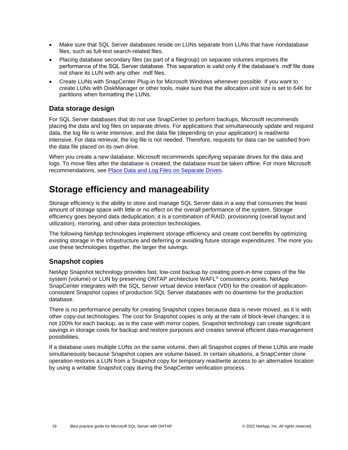- Make sure that SQL Server databases reside on LUNs separate from LUNs that have nondatabase files, such as full-text search-related files.
- Placing database secondary files (as part of a filegroup) on separate volumes improves the performance of the SQL Server database. This separation is valid only if the database's .mdf file does not share its LUN with any other .mdf files.
- Create LUNs with SnapCenter Plug-in for Microsoft Windows whenever possible. If you want to create LUNs with DiskManager or other tools, make sure that the allocation unit size is set to 64K for partitions when formatting the LUNs.

## <span id="page-18-0"></span>**Data storage design**

For SQL Server databases that do not use SnapCenter to perform backups, Microsoft recommends placing the data and log files on separate drives. For applications that simultaneously update and request data, the log file is write intensive, and the data file (depending on your application) is read/write intensive. For data retrieval, the log file is not needed. Therefore, requests for data can be satisfied from the data file placed on its own drive.

When you create a new database, Microsoft recommends specifying separate drives for the data and logs. To move files after the database is created, the database must be taken offline. For more Microsoft recommendations, see Place Data and [Log Files on Separate Drives.](https://docs.microsoft.com/en-us/sql/relational-databases/policy-based-management/place-data-and-log-files-on-separate-drives?view=sql-server-ver15)

## <span id="page-18-1"></span>**Storage efficiency and manageability**

Storage efficiency is the ability to store and manage SQL Server data in a way that consumes the least amount of storage space with little or no effect on the overall performance of the system. Storage efficiency goes beyond data deduplication; it is a combination of RAID, provisioning (overall layout and utilization), mirroring, and other data protection technologies.

The following NetApp technologies implement storage efficiency and create cost benefits by optimizing existing storage in the infrastructure and deferring or avoiding future storage expenditures. The more you use these technologies together, the larger the savings.

#### <span id="page-18-2"></span>**Snapshot copies**

NetApp Snapshot technology provides fast, low-cost backup by creating point-in-time copies of the file system (volume) or LUN by preserving ONTAP architecture WAFL® consistency points. NetApp SnapCenter integrates with the SQL Server virtual device interface (VDI) for the creation of applicationconsistent Snapshot copies of production SQL Server databases with no downtime for the production database.

There is no performance penalty for creating Snapshot copies because data is never moved, as it is with other copy-out technologies. The cost for Snapshot copies is only at the rate of block-level changes; it is not 100% for each backup, as is the case with mirror copies. Snapshot technology can create significant savings in storage costs for backup and restore purposes and creates several efficient data-management possibilities.

If a database uses multiple LUNs on the same volume, then all Snapshot copies of these LUNs are made simultaneously because Snapshot copies are volume-based. In certain situations, a SnapCenter clone operation restores a LUN from a Snapshot copy for temporary read/write access to an alternative location by using a writable Snapshot copy during the SnapCenter verification process.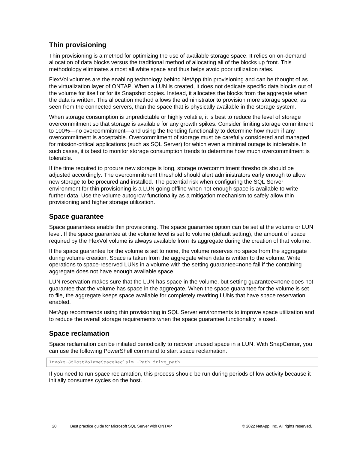## <span id="page-19-0"></span>**Thin provisioning**

Thin provisioning is a method for optimizing the use of available storage space. It relies on on-demand allocation of data blocks versus the traditional method of allocating all of the blocks up front. This methodology eliminates almost all white space and thus helps avoid poor utilization rates.

FlexVol volumes are the enabling technology behind NetApp thin provisioning and can be thought of as the virtualization layer of ONTAP. When a LUN is created, it does not dedicate specific data blocks out of the volume for itself or for its Snapshot copies. Instead, it allocates the blocks from the aggregate when the data is written. This allocation method allows the administrator to provision more storage space, as seen from the connected servers, than the space that is physically available in the storage system.

When storage consumption is unpredictable or highly volatile, it is best to reduce the level of storage overcommitment so that storage is available for any growth spikes. Consider limiting storage commitment to 100%—no overcommitment—and using the trending functionality to determine how much if any overcommitment is acceptable. Overcommitment of storage must be carefully considered and managed for mission-critical applications (such as SQL Server) for which even a minimal outage is intolerable. In such cases, it is best to monitor storage consumption trends to determine how much overcommitment is tolerable.

If the time required to procure new storage is long, storage overcommitment thresholds should be adjusted accordingly. The overcommitment threshold should alert administrators early enough to allow new storage to be procured and installed. The potential risk when configuring the SQL Server environment for thin provisioning is a LUN going offline when not enough space is available to write further data. Use the volume autogrow functionality as a mitigation mechanism to safely allow thin provisioning and higher storage utilization.

### <span id="page-19-1"></span>**Space guarantee**

Space guarantees enable thin provisioning. The space guarantee option can be set at the volume or LUN level. If the space guarantee at the volume level is set to volume (default setting), the amount of space required by the FlexVol volume is always available from its aggregate during the creation of that volume.

If the space guarantee for the volume is set to none, the volume reserves no space from the aggregate during volume creation. Space is taken from the aggregate when data is written to the volume. Write operations to space-reserved LUNs in a volume with the setting guarantee=none fail if the containing aggregate does not have enough available space.

LUN reservation makes sure that the LUN has space in the volume, but setting guarantee=none does not guarantee that the volume has space in the aggregate. When the space guarantee for the volume is set to file, the aggregate keeps space available for completely rewriting LUNs that have space reservation enabled.

NetApp recommends using thin provisioning in SQL Server environments to improve space utilization and to reduce the overall storage requirements when the space guarantee functionality is used.

## <span id="page-19-2"></span>**Space reclamation**

Space reclamation can be initiated periodically to recover unused space in a LUN. With SnapCenter, you can use the following PowerShell command to start space reclamation.

Invoke-SdHostVolumeSpaceReclaim -Path drive\_path

If you need to run space reclamation, this process should be run during periods of low activity because it initially consumes cycles on the host.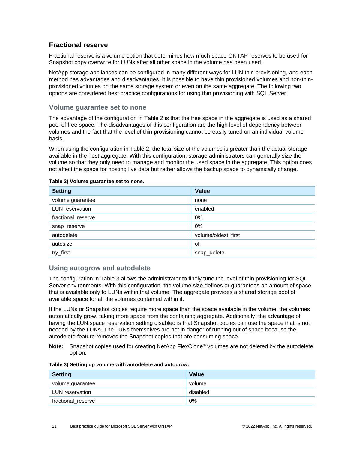### <span id="page-20-0"></span>**Fractional reserve**

Fractional reserve is a volume option that determines how much space ONTAP reserves to be used for Snapshot copy overwrite for LUNs after all other space in the volume has been used.

NetApp storage appliances can be configured in many different ways for LUN thin provisioning, and each method has advantages and disadvantages. It is possible to have thin provisioned volumes and non-thinprovisioned volumes on the same storage system or even on the same aggregate. The following two options are considered best practice configurations for using thin provisioning with SQL Server.

#### **Volume guarantee set to none**

The advantage of the configuration in Table 2 is that the free space in the aggregate is used as a shared pool of free space. The disadvantages of this configuration are the high level of dependency between volumes and the fact that the level of thin provisioning cannot be easily tuned on an individual volume basis.

When using the configuration in Table 2, the total size of the volumes is greater than the actual storage available in the host aggregate. With this configuration, storage administrators can generally size the volume so that they only need to manage and monitor the used space in the aggregate. This option does not affect the space for hosting live data but rather allows the backup space to dynamically change.

| <b>Setting</b>     | <b>Value</b>        |
|--------------------|---------------------|
| volume guarantee   | none                |
| LUN reservation    | enabled             |
| fractional_reserve | $0\%$               |
| snap_reserve       | $0\%$               |
| autodelete         | volume/oldest_first |
| autosize           | off                 |
| try_first          | snap_delete         |

#### <span id="page-20-1"></span>**Table 2) Volume guarantee set to none.**

#### **Using autogrow and autodelete**

The configuration in Table 3 allows the administrator to finely tune the level of thin provisioning for SQL Server environments. With this configuration, the volume size defines or guarantees an amount of space that is available only to LUNs within that volume. The aggregate provides a shared storage pool of available space for all the volumes contained within it.

If the LUNs or Snapshot copies require more space than the space available in the volume, the volumes automatically grow, taking more space from the containing aggregate. Additionally, the advantage of having the LUN space reservation setting disabled is that Snapshot copies can use the space that is not needed by the LUNs. The LUNs themselves are not in danger of running out of space because the autodelete feature removes the Snapshot copies that are consuming space.

**Note:** Snapshot copies used for creating NetApp FlexClone® volumes are not deleted by the autodelete option.

<span id="page-20-2"></span>

|  |  |  |  |  |  |  | Table 3) Setting up volume with autodelete and autogrow. |
|--|--|--|--|--|--|--|----------------------------------------------------------|
|--|--|--|--|--|--|--|----------------------------------------------------------|

| <b>Setting</b>     | Value    |
|--------------------|----------|
| volume guarantee   | volume   |
| LUN reservation    | disabled |
| fractional_reserve | 0%       |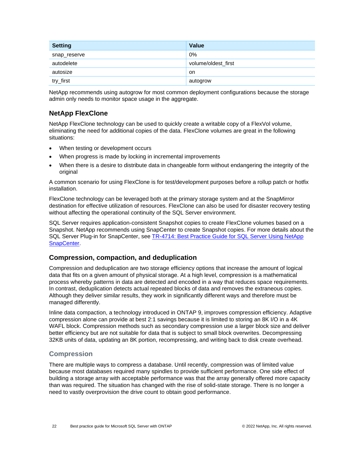| <b>Setting</b> | <b>Value</b>        |
|----------------|---------------------|
| snap_reserve   | 0%                  |
| autodelete     | volume/oldest_first |
| autosize       | on.                 |
| try_first      | autogrow            |

NetApp recommends using autogrow for most common deployment configurations because the storage admin only needs to monitor space usage in the aggregate.

## <span id="page-21-0"></span>**NetApp FlexClone**

NetApp FlexClone technology can be used to quickly create a writable copy of a FlexVol volume, eliminating the need for additional copies of the data. FlexClone volumes are great in the following situations:

- When testing or development occurs
- When progress is made by locking in incremental improvements
- When there is a desire to distribute data in changeable form without endangering the integrity of the original

A common scenario for using FlexClone is for test/development purposes before a rollup patch or hotfix installation.

FlexClone technology can be leveraged both at the primary storage system and at the SnapMirror destination for effective utilization of resources. FlexClone can also be used for disaster recovery testing without affecting the operational continuity of the SQL Server environment.

SQL Server requires application-consistent Snapshot copies to create FlexClone volumes based on a Snapshot. NetApp recommends using SnapCenter to create Snapshot copies. For more details about the SQL Server Plug-in for SnapCenter, see [TR-4714: Best Practice Guide for SQL Server Using NetApp](https://www.netapp.com/us/media/tr-4714.pdf)  [SnapCenter.](https://www.netapp.com/us/media/tr-4714.pdf)

## <span id="page-21-1"></span>**Compression, compaction, and deduplication**

Compression and deduplication are two storage efficiency options that increase the amount of logical data that fits on a given amount of physical storage. At a high level, compression is a mathematical process whereby patterns in data are detected and encoded in a way that reduces space requirements. In contrast, deduplication detects actual repeated blocks of data and removes the extraneous copies. Although they deliver similar results, they work in significantly different ways and therefore must be managed differently.

Inline data compaction, a technology introduced in ONTAP 9, improves compression efficiency. Adaptive compression alone can provide at best 2:1 savings because it is limited to storing an 8K I/O in a 4K WAFL block. Compression methods such as secondary compression use a larger block size and deliver better efficiency but are not suitable for data that is subject to small block overwrites. Decompressing 32KB units of data, updating an 8K portion, recompressing, and writing back to disk create overhead.

#### **Compression**

There are multiple ways to compress a database. Until recently, compression was of limited value because most databases required many spindles to provide sufficient performance. One side effect of building a storage array with acceptable performance was that the array generally offered more capacity than was required. The situation has changed with the rise of solid-state storage. There is no longer a need to vastly overprovision the drive count to obtain good performance.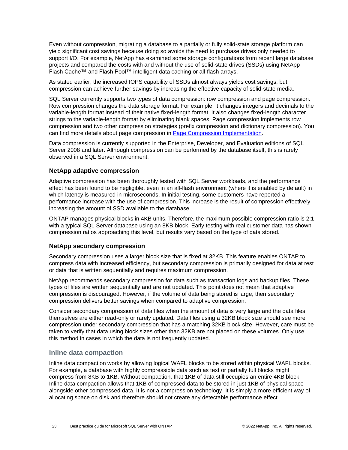Even without compression, migrating a database to a partially or fully solid-state storage platform can yield significant cost savings because doing so avoids the need to purchase drives only needed to support I/O. For example, NetApp has examined some storage configurations from recent large database projects and compared the costs with and without the use of solid-state drives (SSDs) using NetApp Flash Cache™ and Flash Pool™ intelligent data caching or all-flash arrays.

As stated earlier, the increased IOPS capability of SSDs almost always yields cost savings, but compression can achieve further savings by increasing the effective capacity of solid-state media.

SQL Server currently supports two types of data compression: row compression and page compression. Row compression changes the data storage format. For example, it changes integers and decimals to the variable-length format instead of their native fixed-length format. It also changes fixed-length character strings to the variable-length format by eliminating blank spaces. Page compression implements row compression and two other compression strategies (prefix compression and dictionary compression). You can find more details about page compression in [Page Compression Implementation.](https://msdn.microsoft.com/en-us/library/cc280464.aspx)

Data compression is currently supported in the Enterprise, Developer, and Evaluation editions of SQL Server 2008 and later. Although compression can be performed by the database itself, this is rarely observed in a SQL Server environment.

#### **NetApp adaptive compression**

Adaptive compression has been thoroughly tested with SQL Server workloads, and the performance effect has been found to be negligible, even in an all-flash environment (where it is enabled by default) in which latency is measured in microseconds. In initial testing, some customers have reported a performance increase with the use of compression. This increase is the result of compression effectively increasing the amount of SSD available to the database.

ONTAP manages physical blocks in 4KB units. Therefore, the maximum possible compression ratio is 2:1 with a typical SQL Server database using an 8KB block. Early testing with real customer data has shown compression ratios approaching this level, but results vary based on the type of data stored.

#### **NetApp secondary compression**

Secondary compression uses a larger block size that is fixed at 32KB. This feature enables ONTAP to compress data with increased efficiency, but secondary compression is primarily designed for data at rest or data that is written sequentially and requires maximum compression.

NetApp recommends secondary compression for data such as transaction logs and backup files. These types of files are written sequentially and are not updated. This point does not mean that adaptive compression is discouraged. However, if the volume of data being stored is large, then secondary compression delivers better savings when compared to adaptive compression.

Consider secondary compression of data files when the amount of data is very large and the data files themselves are either read-only or rarely updated. Data files using a 32KB block size should see more compression under secondary compression that has a matching 32KB block size. However, care must be taken to verify that data using block sizes other than 32KB are not placed on these volumes. Only use this method in cases in which the data is not frequently updated.

#### **Inline data compaction**

Inline data compaction works by allowing logical WAFL blocks to be stored within physical WAFL blocks. For example, a database with highly compressible data such as text or partially full blocks might compress from 8KB to 1KB. Without compaction, that 1KB of data still occupies an entire 4KB block. Inline data compaction allows that 1KB of compressed data to be stored in just 1KB of physical space alongside other compressed data. It is not a compression technology. It is simply a more efficient way of allocating space on disk and therefore should not create any detectable performance effect.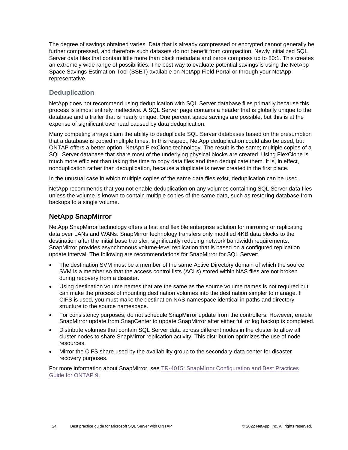The degree of savings obtained varies. Data that is already compressed or encrypted cannot generally be further compressed, and therefore such datasets do not benefit from compaction. Newly initialized SQL Server data files that contain little more than block metadata and zeros compress up to 80:1. This creates an extremely wide range of possibilities. The best way to evaluate potential savings is using the NetApp Space Savings Estimation Tool (SSET) available on NetApp Field Portal or through your NetApp representative.

### **Deduplication**

NetApp does not recommend using deduplication with SQL Server database files primarily because this process is almost entirely ineffective. A SQL Server page contains a header that is globally unique to the database and a trailer that is nearly unique. One percent space savings are possible, but this is at the expense of significant overhead caused by data deduplication.

Many competing arrays claim the ability to deduplicate SQL Server databases based on the presumption that a database is copied multiple times. In this respect, NetApp deduplication could also be used, but ONTAP offers a better option: NetApp FlexClone technology. The result is the same; multiple copies of a SQL Server database that share most of the underlying physical blocks are created. Using FlexClone is much more efficient than taking the time to copy data files and then deduplicate them. It is, in effect, nonduplication rather than deduplication, because a duplicate is never created in the first place.

In the unusual case in which multiple copies of the same data files exist, deduplication can be used.

NetApp recommends that you not enable deduplication on any volumes containing SQL Server data files unless the volume is known to contain multiple copies of the same data, such as restoring database from backups to a single volume.

### <span id="page-23-0"></span>**NetApp SnapMirror**

NetApp SnapMirror technology offers a fast and flexible enterprise solution for mirroring or replicating data over LANs and WANs. SnapMirror technology transfers only modified 4KB data blocks to the destination after the initial base transfer, significantly reducing network bandwidth requirements. SnapMirror provides asynchronous volume-level replication that is based on a configured replication update interval. The following are recommendations for SnapMirror for SQL Server:

- The destination SVM must be a member of the same Active Directory domain of which the source SVM is a member so that the access control lists (ACLs) stored within NAS files are not broken during recovery from a disaster.
- Using destination volume names that are the same as the source volume names is not required but can make the process of mounting destination volumes into the destination simpler to manage. If CIFS is used, you must make the destination NAS namespace identical in paths and directory structure to the source namespace.
- For consistency purposes, do not schedule SnapMirror update from the controllers. However, enable SnapMirror update from SnapCenter to update SnapMirror after either full or log backup is completed.
- Distribute volumes that contain SQL Server data across different nodes in the cluster to allow all cluster nodes to share SnapMirror replication activity. This distribution optimizes the use of node resources.
- Mirror the CIFS share used by the availability group to the secondary data center for disaster recovery purposes.

For more information about SnapMirror, see TR-4015: [SnapMirror Configuration and Best Practices](https://www.netapp.com/us/media/tr-4015.pdf)  [Guide for ONTAP 9.](https://www.netapp.com/us/media/tr-4015.pdf)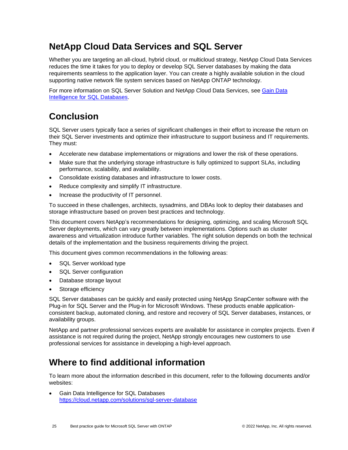## <span id="page-24-0"></span>**NetApp Cloud Data Services and SQL Server**

Whether you are targeting an all-cloud, hybrid cloud, or multicloud strategy, NetApp Cloud Data Services reduces the time it takes for you to deploy or develop SQL Server databases by making the data requirements seamless to the application layer. You can create a highly available solution in the cloud supporting native network file system services based on NetApp ONTAP technology.

For more information on SQL Server Solution and NetApp Cloud Data Services, see [Gain Data](https://cloud.netapp.com/solutions/sql-server-database)  [Intelligence for SQL Databases.](https://cloud.netapp.com/solutions/sql-server-database)

## <span id="page-24-1"></span>**Conclusion**

SQL Server users typically face a series of significant challenges in their effort to increase the return on their SQL Server investments and optimize their infrastructure to support business and IT requirements. They must:

- Accelerate new database implementations or migrations and lower the risk of these operations.
- Make sure that the underlying storage infrastructure is fully optimized to support SLAs, including performance, scalability, and availability.
- Consolidate existing databases and infrastructure to lower costs.
- Reduce complexity and simplify IT infrastructure.
- Increase the productivity of IT personnel.

To succeed in these challenges, architects, sysadmins, and DBAs look to deploy their databases and storage infrastructure based on proven best practices and technology.

This document covers NetApp's recommendations for designing, optimizing, and scaling Microsoft SQL Server deployments, which can vary greatly between implementations. Options such as cluster awareness and virtualization introduce further variables. The right solution depends on both the technical details of the implementation and the business requirements driving the project.

This document gives common recommendations in the following areas:

- SQL Server workload type
- SQL Server configuration
- Database storage layout
- Storage efficiency

SQL Server databases can be quickly and easily protected using NetApp SnapCenter software with the Plug-in for SQL Server and the Plug-in for Microsoft Windows. These products enable applicationconsistent backup, automated cloning, and restore and recovery of SQL Server databases, instances, or availability groups.

NetApp and partner professional services experts are available for assistance in complex projects. Even if assistance is not required during the project, NetApp strongly encourages new customers to use professional services for assistance in developing a high-level approach.

## <span id="page-24-2"></span>**Where to find additional information**

To learn more about the information described in this document, refer to the following documents and/or websites:

• Gain Data Intelligence for SQL Databases <https://cloud.netapp.com/solutions/sql-server-database>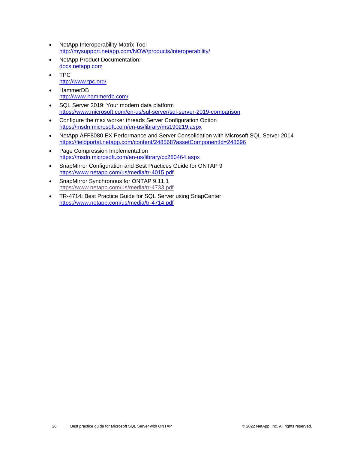- NetApp Interoperability Matrix Tool <http://mysupport.netapp.com/NOW/products/interoperability/>
- NetApp Product Documentation: [docs.netapp.com](https://www.netapp.com/us/documentation/index.aspx)
- TPC <http://www.tpc.org/>
- [HammerDB](http://www.hammerdb.com/) <http://www.hammerdb.com/>
- SQL Server 2019: Your modern data platform <https://www.microsoft.com/en-us/sql-server/sql-server-2019-comparison>
- [Configure the max worker threads Server Configuration Option](https://msdn.microsoft.com/en-us/library/ms190219.aspx) <https://msdn.microsoft.com/en-us/library/ms190219.aspx>
- [NetApp AFF8080 EX Performance and Server Consolidation with Microsoft SQL Server 2014](https://fieldportal.netapp.com/content/248568?assetComponentId=248696) <https://fieldportal.netapp.com/content/248568?assetComponentId=248696>
- [Page Compression Implementation](https://msdn.microsoft.com/en-us/library/cc280464.aspx) <https://msdn.microsoft.com/en-us/library/cc280464.aspx>
- SnapMirror Configuration and Best Practices Guide for ONTAP 9 <https://www.netapp.com/us/media/tr-4015.pdf>
- SnapMirror Synchronous for ONTAP 9.11.1 <https://www.netapp.com/us/media/tr-4733.pdf>
- TR-4714: Best Practice Guide for SQL Server using SnapCenter <https://www.netapp.com/us/media/tr-4714.pdf>